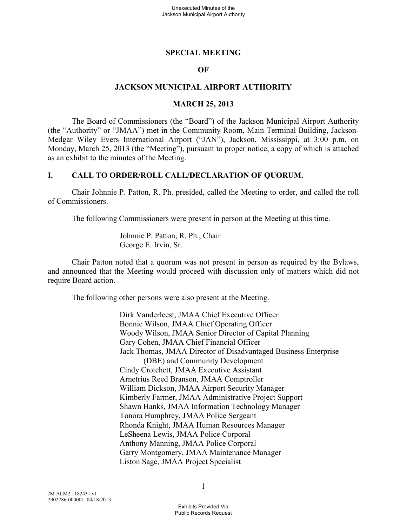#### **SPECIAL MEETING**

#### **OF**

#### **JACKSON MUNICIPAL AIRPORT AUTHORITY**

#### **MARCH 25, 2013**

The Board of Commissioners (the "Board") of the Jackson Municipal Airport Authority (the "Authority" or "JMAA") met in the Community Room, Main Terminal Building, Jackson-Medgar Wiley Evers International Airport ("JAN"), Jackson, Mississippi, at 3:00 p.m. on Monday, March 25, 2013 (the "Meeting"), pursuant to proper notice, a copy of which is attached as an exhibit to the minutes of the Meeting.

#### **I. CALL TO ORDER/ROLL CALL/DECLARATION OF QUORUM.**

Chair Johnnie P. Patton, R. Ph. presided, called the Meeting to order, and called the roll of Commissioners.

The following Commissioners were present in person at the Meeting at this time.

Johnnie P. Patton, R. Ph., Chair George E. Irvin, Sr.

Chair Patton noted that a quorum was not present in person as required by the Bylaws, and announced that the Meeting would proceed with discussion only of matters which did not require Board action.

The following other persons were also present at the Meeting.

Dirk Vanderleest, JMAA Chief Executive Officer Bonnie Wilson, JMAA Chief Operating Officer Woody Wilson, JMAA Senior Director of Capital Planning Gary Cohen, JMAA Chief Financial Officer Jack Thomas, JMAA Director of Disadvantaged Business Enterprise (DBE) and Community Development Cindy Crotchett, JMAA Executive Assistant Arnetrius Reed Branson, JMAA Comptroller William Dickson, JMAA Airport Security Manager Kimberly Farmer, JMAA Administrative Project Support Shawn Hanks, JMAA Information Technology Manager Tonora Humphrey, JMAA Police Sergeant Rhonda Knight, JMAA Human Resources Manager LeSheena Lewis, JMAA Police Corporal Anthony Manning, JMAA Police Corporal Garry Montgomery, JMAA Maintenance Manager Liston Sage, JMAA Project Specialist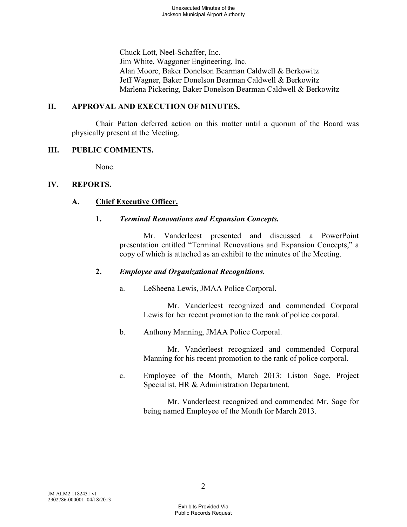Chuck Lott, Neel-Schaffer, Inc. Jim White, Waggoner Engineering, Inc. Alan Moore, Baker Donelson Bearman Caldwell & Berkowitz Jeff Wagner, Baker Donelson Bearman Caldwell & Berkowitz Marlena Pickering, Baker Donelson Bearman Caldwell & Berkowitz

# **II. APPROVAL AND EXECUTION OF MINUTES.**

Chair Patton deferred action on this matter until a quorum of the Board was physically present at the Meeting.

#### **III. PUBLIC COMMENTS.**

None.

#### **IV. REPORTS.**

# **A. Chief Executive Officer.**

#### **1.** *Terminal Renovations and Expansion Concepts.*

Mr. Vanderleest presented and discussed a PowerPoint presentation entitled "Terminal Renovations and Expansion Concepts," a copy of which is attached as an exhibit to the minutes of the Meeting.

# **2.** *Employee and Organizational Recognitions.*

a. LeSheena Lewis, JMAA Police Corporal.

Mr. Vanderleest recognized and commended Corporal Lewis for her recent promotion to the rank of police corporal.

b. Anthony Manning, JMAA Police Corporal.

Mr. Vanderleest recognized and commended Corporal Manning for his recent promotion to the rank of police corporal.

c. Employee of the Month, March 2013: Liston Sage, Project Specialist, HR & Administration Department.

> Mr. Vanderleest recognized and commended Mr. Sage for being named Employee of the Month for March 2013.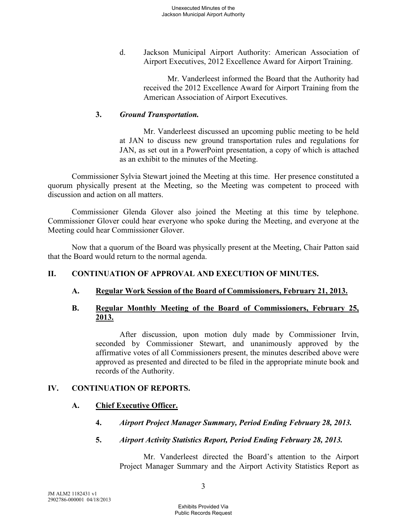d. Jackson Municipal Airport Authority: American Association of Airport Executives, 2012 Excellence Award for Airport Training.

> Mr. Vanderleest informed the Board that the Authority had received the 2012 Excellence Award for Airport Training from the American Association of Airport Executives.

### **3.** *Ground Transportation.*

Mr. Vanderleest discussed an upcoming public meeting to be held at JAN to discuss new ground transportation rules and regulations for JAN, as set out in a PowerPoint presentation, a copy of which is attached as an exhibit to the minutes of the Meeting.

Commissioner Sylvia Stewart joined the Meeting at this time. Her presence constituted a quorum physically present at the Meeting, so the Meeting was competent to proceed with discussion and action on all matters.

Commissioner Glenda Glover also joined the Meeting at this time by telephone. Commissioner Glover could hear everyone who spoke during the Meeting, and everyone at the Meeting could hear Commissioner Glover.

Now that a quorum of the Board was physically present at the Meeting, Chair Patton said that the Board would return to the normal agenda.

# **II. CONTINUATION OF APPROVAL AND EXECUTION OF MINUTES.**

# **A. Regular Work Session of the Board of Commissioners, February 21, 2013.**

#### **B. Regular Monthly Meeting of the Board of Commissioners, February 25, 2013.**

After discussion, upon motion duly made by Commissioner Irvin, seconded by Commissioner Stewart, and unanimously approved by the affirmative votes of all Commissioners present, the minutes described above were approved as presented and directed to be filed in the appropriate minute book and records of the Authority.

# **IV. CONTINUATION OF REPORTS.**

#### **A. Chief Executive Officer.**

- **4.** *Airport Project Manager Summary, Period Ending February 28, 2013.*
- **5.** *Airport Activity Statistics Report, Period Ending February 28, 2013.*

Mr. Vanderleest directed the Board's attention to the Airport Project Manager Summary and the Airport Activity Statistics Report as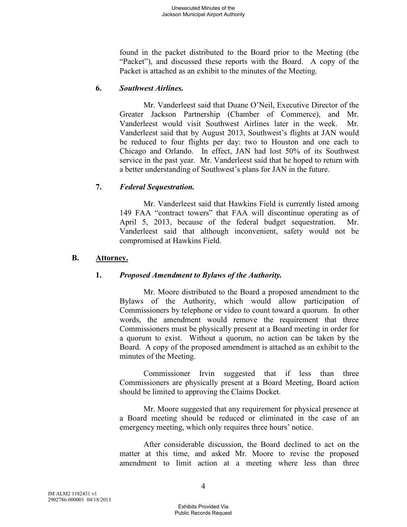found in the packet distributed to the Board prior to the Meeting (the "Packet"), and discussed these reports with the Board. A copy of the Packet is attached as an exhibit to the minutes of the Meeting.

### **6.** *Southwest Airlines.*

Mr. Vanderleest said that Duane O'Neil, Executive Director of the Greater Jackson Partnership (Chamber of Commerce), and Mr. Vanderleest would visit Southwest Airlines later in the week. Mr. Vanderleest said that by August 2013, Southwest's flights at JAN would be reduced to four flights per day: two to Houston and one each to Chicago and Orlando. In effect, JAN had lost 50% of its Southwest service in the past year. Mr. Vanderleest said that he hoped to return with a better understanding of Southwest's plans for JAN in the future.

# **7.** *Federal Sequestration.*

Mr. Vanderleest said that Hawkins Field is currently listed among 149 FAA "contract towers" that FAA will discontinue operating as of April 5, 2013, because of the federal budget sequestration. Mr. Vanderleest said that although inconvenient, safety would not be compromised at Hawkins Field.

#### **B. Attorney.**

# **1.** *Proposed Amendment to Bylaws of the Authority.*

Mr. Moore distributed to the Board a proposed amendment to the Bylaws of the Authority, which would allow participation of Commissioners by telephone or video to count toward a quorum. In other words, the amendment would remove the requirement that three Commissioners must be physically present at a Board meeting in order for a quorum to exist. Without a quorum, no action can be taken by the Board. A copy of the proposed amendment is attached as an exhibit to the minutes of the Meeting.

Commissioner Irvin suggested that if less than three Commissioners are physically present at a Board Meeting, Board action should be limited to approving the Claims Docket.

Mr. Moore suggested that any requirement for physical presence at a Board meeting should be reduced or eliminated in the case of an emergency meeting, which only requires three hours' notice.

After considerable discussion, the Board declined to act on the matter at this time, and asked Mr. Moore to revise the proposed amendment to limit action at a meeting where less than three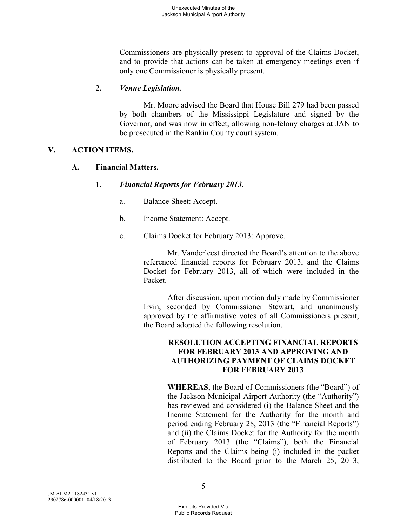Commissioners are physically present to approval of the Claims Docket, and to provide that actions can be taken at emergency meetings even if only one Commissioner is physically present.

# **2.** *Venue Legislation.*

Mr. Moore advised the Board that House Bill 279 had been passed by both chambers of the Mississippi Legislature and signed by the Governor, and was now in effect, allowing non-felony charges at JAN to be prosecuted in the Rankin County court system.

# **V. ACTION ITEMS.**

# **A. Financial Matters.**

# **1.** *Financial Reports for February 2013.*

- a. Balance Sheet: Accept.
- b. Income Statement: Accept.
- c. Claims Docket for February 2013: Approve.

Mr. Vanderleest directed the Board's attention to the above referenced financial reports for February 2013, and the Claims Docket for February 2013, all of which were included in the Packet.

After discussion, upon motion duly made by Commissioner Irvin, seconded by Commissioner Stewart, and unanimously approved by the affirmative votes of all Commissioners present, the Board adopted the following resolution.

# **RESOLUTION ACCEPTING FINANCIAL REPORTS FOR FEBRUARY 2013 AND APPROVING AND AUTHORIZING PAYMENT OF CLAIMS DOCKET FOR FEBRUARY 2013**

**WHEREAS**, the Board of Commissioners (the "Board") of the Jackson Municipal Airport Authority (the "Authority") has reviewed and considered (i) the Balance Sheet and the Income Statement for the Authority for the month and period ending February 28, 2013 (the "Financial Reports") and (ii) the Claims Docket for the Authority for the month of February 2013 (the "Claims"), both the Financial Reports and the Claims being (i) included in the packet distributed to the Board prior to the March 25, 2013,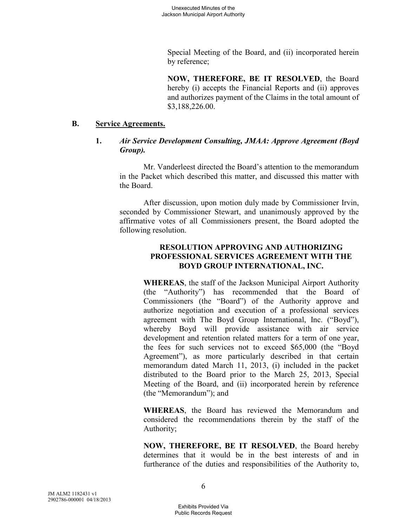Special Meeting of the Board, and (ii) incorporated herein by reference;

**NOW, THEREFORE, BE IT RESOLVED**, the Board hereby (i) accepts the Financial Reports and (ii) approves and authorizes payment of the Claims in the total amount of \$3,188,226.00.

#### **B. Service Agreements.**

# **1.** *Air Service Development Consulting, JMAA: Approve Agreement (Boyd Group).*

Mr. Vanderleest directed the Board's attention to the memorandum in the Packet which described this matter, and discussed this matter with the Board.

After discussion, upon motion duly made by Commissioner Irvin, seconded by Commissioner Stewart, and unanimously approved by the affirmative votes of all Commissioners present, the Board adopted the following resolution.

# **RESOLUTION APPROVING AND AUTHORIZING PROFESSIONAL SERVICES AGREEMENT WITH THE BOYD GROUP INTERNATIONAL, INC.**

**WHEREAS**, the staff of the Jackson Municipal Airport Authority (the "Authority") has recommended that the Board of Commissioners (the "Board") of the Authority approve and authorize negotiation and execution of a professional services agreement with The Boyd Group International, Inc. ("Boyd"), whereby Boyd will provide assistance with air service development and retention related matters for a term of one year, the fees for such services not to exceed \$65,000 (the "Boyd Agreement"), as more particularly described in that certain memorandum dated March 11, 2013, (i) included in the packet distributed to the Board prior to the March 25, 2013, Special Meeting of the Board, and (ii) incorporated herein by reference (the "Memorandum"); and

**WHEREAS**, the Board has reviewed the Memorandum and considered the recommendations therein by the staff of the Authority;

**NOW, THEREFORE, BE IT RESOLVED**, the Board hereby determines that it would be in the best interests of and in furtherance of the duties and responsibilities of the Authority to,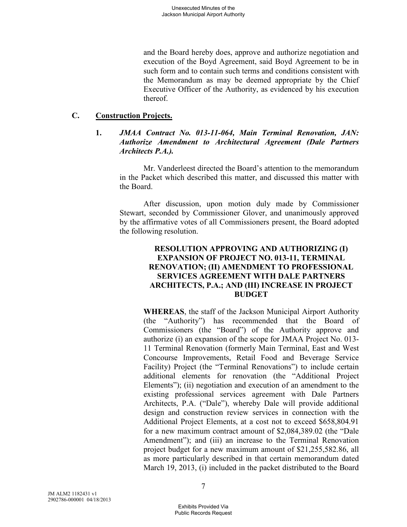and the Board hereby does, approve and authorize negotiation and execution of the Boyd Agreement, said Boyd Agreement to be in such form and to contain such terms and conditions consistent with the Memorandum as may be deemed appropriate by the Chief Executive Officer of the Authority, as evidenced by his execution thereof.

# **C. Construction Projects.**

#### **1.** *JMAA Contract No. 013-11-064, Main Terminal Renovation, JAN: Authorize Amendment to Architectural Agreement (Dale Partners Architects P.A.).*

Mr. Vanderleest directed the Board's attention to the memorandum in the Packet which described this matter, and discussed this matter with the Board.

After discussion, upon motion duly made by Commissioner Stewart, seconded by Commissioner Glover, and unanimously approved by the affirmative votes of all Commissioners present, the Board adopted the following resolution.

#### **RESOLUTION APPROVING AND AUTHORIZING (I) EXPANSION OF PROJECT NO. 013-11, TERMINAL RENOVATION; (II) AMENDMENT TO PROFESSIONAL SERVICES AGREEMENT WITH DALE PARTNERS ARCHITECTS, P.A.; AND (III) INCREASE IN PROJECT BUDGET**

**WHEREAS**, the staff of the Jackson Municipal Airport Authority (the "Authority") has recommended that the Board of Commissioners (the "Board") of the Authority approve and authorize (i) an expansion of the scope for JMAA Project No. 013- 11 Terminal Renovation (formerly Main Terminal, East and West Concourse Improvements, Retail Food and Beverage Service Facility) Project (the "Terminal Renovations") to include certain additional elements for renovation (the "Additional Project Elements"); (ii) negotiation and execution of an amendment to the existing professional services agreement with Dale Partners Architects, P.A. ("Dale"), whereby Dale will provide additional design and construction review services in connection with the Additional Project Elements, at a cost not to exceed \$658,804.91 for a new maximum contract amount of \$2,084,389.02 (the "Dale Amendment"); and (iii) an increase to the Terminal Renovation project budget for a new maximum amount of \$21,255,582.86, all as more particularly described in that certain memorandum dated March 19, 2013, (i) included in the packet distributed to the Board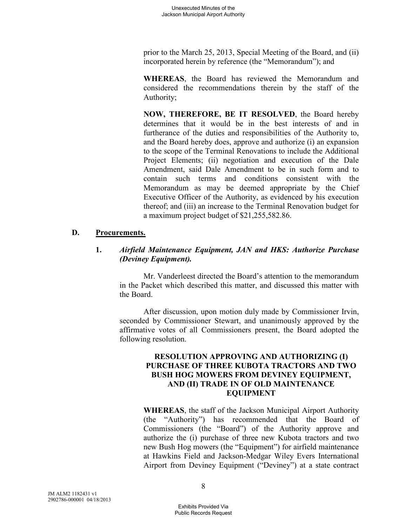prior to the March 25, 2013, Special Meeting of the Board, and (ii) incorporated herein by reference (the "Memorandum"); and

**WHEREAS**, the Board has reviewed the Memorandum and considered the recommendations therein by the staff of the Authority;

**NOW, THEREFORE, BE IT RESOLVED**, the Board hereby determines that it would be in the best interests of and in furtherance of the duties and responsibilities of the Authority to, and the Board hereby does, approve and authorize (i) an expansion to the scope of the Terminal Renovations to include the Additional Project Elements; (ii) negotiation and execution of the Dale Amendment, said Dale Amendment to be in such form and to contain such terms and conditions consistent with the Memorandum as may be deemed appropriate by the Chief Executive Officer of the Authority, as evidenced by his execution thereof; and (iii) an increase to the Terminal Renovation budget for a maximum project budget of \$21,255,582.86.

#### **D. Procurements.**

# **1.** *Airfield Maintenance Equipment, JAN and HKS: Authorize Purchase (Deviney Equipment).*

Mr. Vanderleest directed the Board's attention to the memorandum in the Packet which described this matter, and discussed this matter with the Board.

After discussion, upon motion duly made by Commissioner Irvin, seconded by Commissioner Stewart, and unanimously approved by the affirmative votes of all Commissioners present, the Board adopted the following resolution.

### **RESOLUTION APPROVING AND AUTHORIZING (I) PURCHASE OF THREE KUBOTA TRACTORS AND TWO BUSH HOG MOWERS FROM DEVINEY EQUIPMENT, AND (II) TRADE IN OF OLD MAINTENANCE EQUIPMENT**

**WHEREAS**, the staff of the Jackson Municipal Airport Authority (the "Authority") has recommended that the Board of Commissioners (the "Board") of the Authority approve and authorize the (i) purchase of three new Kubota tractors and two new Bush Hog mowers (the "Equipment") for airfield maintenance at Hawkins Field and Jackson-Medgar Wiley Evers International Airport from Deviney Equipment ("Deviney") at a state contract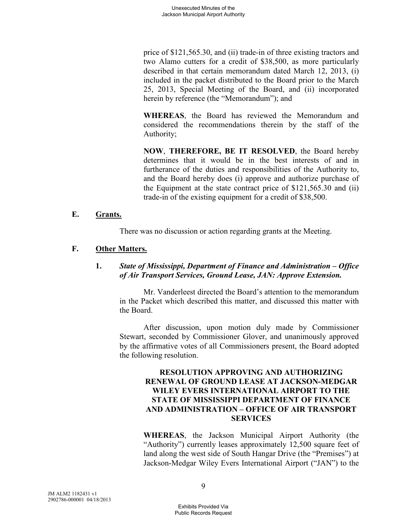price of \$121,565.30, and (ii) trade-in of three existing tractors and two Alamo cutters for a credit of \$38,500, as more particularly described in that certain memorandum dated March 12, 2013, (i) included in the packet distributed to the Board prior to the March 25, 2013, Special Meeting of the Board, and (ii) incorporated herein by reference (the "Memorandum"); and

**WHEREAS**, the Board has reviewed the Memorandum and considered the recommendations therein by the staff of the Authority;

**NOW**, **THEREFORE, BE IT RESOLVED**, the Board hereby determines that it would be in the best interests of and in furtherance of the duties and responsibilities of the Authority to, and the Board hereby does (i) approve and authorize purchase of the Equipment at the state contract price of \$121,565.30 and (ii) trade-in of the existing equipment for a credit of \$38,500.

#### **E. Grants.**

There was no discussion or action regarding grants at the Meeting.

# **F. Other Matters.**

# **1.** *State of Mississippi, Department of Finance and Administration – Office of Air Transport Services, Ground Lease, JAN: Approve Extension.*

Mr. Vanderleest directed the Board's attention to the memorandum in the Packet which described this matter, and discussed this matter with the Board.

After discussion, upon motion duly made by Commissioner Stewart, seconded by Commissioner Glover, and unanimously approved by the affirmative votes of all Commissioners present, the Board adopted the following resolution.

### **RESOLUTION APPROVING AND AUTHORIZING RENEWAL OF GROUND LEASE AT JACKSON-MEDGAR WILEY EVERS INTERNATIONAL AIRPORT TO THE STATE OF MISSISSIPPI DEPARTMENT OF FINANCE AND ADMINISTRATION – OFFICE OF AIR TRANSPORT SERVICES**

**WHEREAS**, the Jackson Municipal Airport Authority (the "Authority") currently leases approximately 12,500 square feet of land along the west side of South Hangar Drive (the "Premises") at Jackson-Medgar Wiley Evers International Airport ("JAN") to the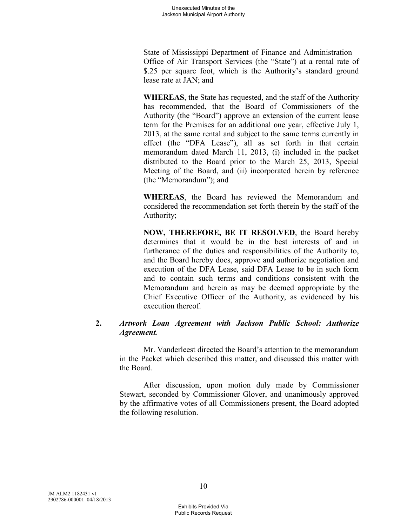State of Mississippi Department of Finance and Administration – Office of Air Transport Services (the "State") at a rental rate of \$.25 per square foot, which is the Authority's standard ground lease rate at JAN; and

**WHEREAS**, the State has requested, and the staff of the Authority has recommended, that the Board of Commissioners of the Authority (the "Board") approve an extension of the current lease term for the Premises for an additional one year, effective July 1, 2013, at the same rental and subject to the same terms currently in effect (the "DFA Lease"), all as set forth in that certain memorandum dated March 11, 2013, (i) included in the packet distributed to the Board prior to the March 25, 2013, Special Meeting of the Board, and (ii) incorporated herein by reference (the "Memorandum"); and

**WHEREAS**, the Board has reviewed the Memorandum and considered the recommendation set forth therein by the staff of the Authority;

**NOW, THEREFORE, BE IT RESOLVED**, the Board hereby determines that it would be in the best interests of and in furtherance of the duties and responsibilities of the Authority to, and the Board hereby does, approve and authorize negotiation and execution of the DFA Lease, said DFA Lease to be in such form and to contain such terms and conditions consistent with the Memorandum and herein as may be deemed appropriate by the Chief Executive Officer of the Authority, as evidenced by his execution thereof.

# **2.** *Artwork Loan Agreement with Jackson Public School: Authorize Agreement.*

Mr. Vanderleest directed the Board's attention to the memorandum in the Packet which described this matter, and discussed this matter with the Board.

After discussion, upon motion duly made by Commissioner Stewart, seconded by Commissioner Glover, and unanimously approved by the affirmative votes of all Commissioners present, the Board adopted the following resolution.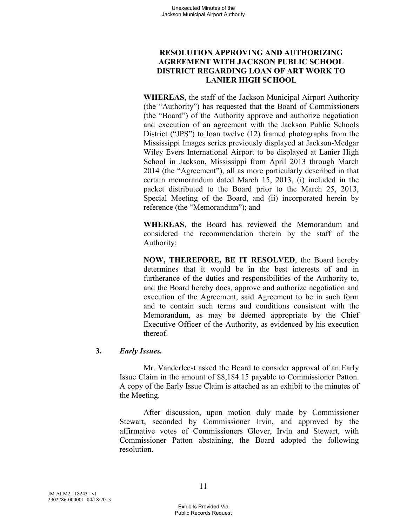# **RESOLUTION APPROVING AND AUTHORIZING AGREEMENT WITH JACKSON PUBLIC SCHOOL DISTRICT REGARDING LOAN OF ART WORK TO LANIER HIGH SCHOOL**

**WHEREAS**, the staff of the Jackson Municipal Airport Authority (the "Authority") has requested that the Board of Commissioners (the "Board") of the Authority approve and authorize negotiation and execution of an agreement with the Jackson Public Schools District ("JPS") to loan twelve (12) framed photographs from the Mississippi Images series previously displayed at Jackson-Medgar Wiley Evers International Airport to be displayed at Lanier High School in Jackson, Mississippi from April 2013 through March 2014 (the "Agreement"), all as more particularly described in that certain memorandum dated March 15, 2013, (i) included in the packet distributed to the Board prior to the March 25, 2013, Special Meeting of the Board, and (ii) incorporated herein by reference (the "Memorandum"); and

**WHEREAS**, the Board has reviewed the Memorandum and considered the recommendation therein by the staff of the Authority;

**NOW, THEREFORE, BE IT RESOLVED**, the Board hereby determines that it would be in the best interests of and in furtherance of the duties and responsibilities of the Authority to, and the Board hereby does, approve and authorize negotiation and execution of the Agreement, said Agreement to be in such form and to contain such terms and conditions consistent with the Memorandum, as may be deemed appropriate by the Chief Executive Officer of the Authority, as evidenced by his execution thereof.

# **3.** *Early Issues.*

Mr. Vanderleest asked the Board to consider approval of an Early Issue Claim in the amount of \$8,184.15 payable to Commissioner Patton. A copy of the Early Issue Claim is attached as an exhibit to the minutes of the Meeting.

After discussion, upon motion duly made by Commissioner Stewart, seconded by Commissioner Irvin, and approved by the affirmative votes of Commissioners Glover, Irvin and Stewart, with Commissioner Patton abstaining, the Board adopted the following resolution.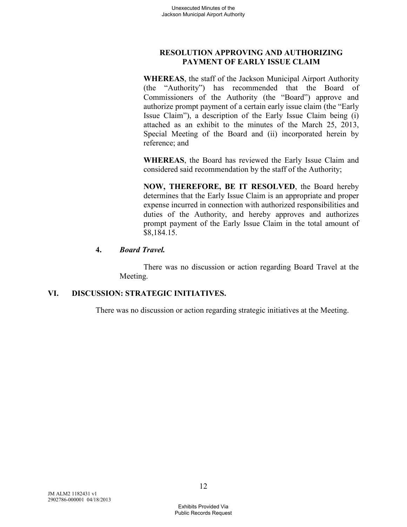# **RESOLUTION APPROVING AND AUTHORIZING PAYMENT OF EARLY ISSUE CLAIM**

**WHEREAS**, the staff of the Jackson Municipal Airport Authority (the "Authority") has recommended that the Board of Commissioners of the Authority (the "Board") approve and authorize prompt payment of a certain early issue claim (the "Early Issue Claim"), a description of the Early Issue Claim being (i) attached as an exhibit to the minutes of the March 25, 2013, Special Meeting of the Board and (ii) incorporated herein by reference; and

**WHEREAS**, the Board has reviewed the Early Issue Claim and considered said recommendation by the staff of the Authority;

**NOW, THEREFORE, BE IT RESOLVED**, the Board hereby determines that the Early Issue Claim is an appropriate and proper expense incurred in connection with authorized responsibilities and duties of the Authority, and hereby approves and authorizes prompt payment of the Early Issue Claim in the total amount of \$8,184.15.

#### **4.** *Board Travel.*

There was no discussion or action regarding Board Travel at the Meeting.

# **VI. DISCUSSION: STRATEGIC INITIATIVES.**

There was no discussion or action regarding strategic initiatives at the Meeting.